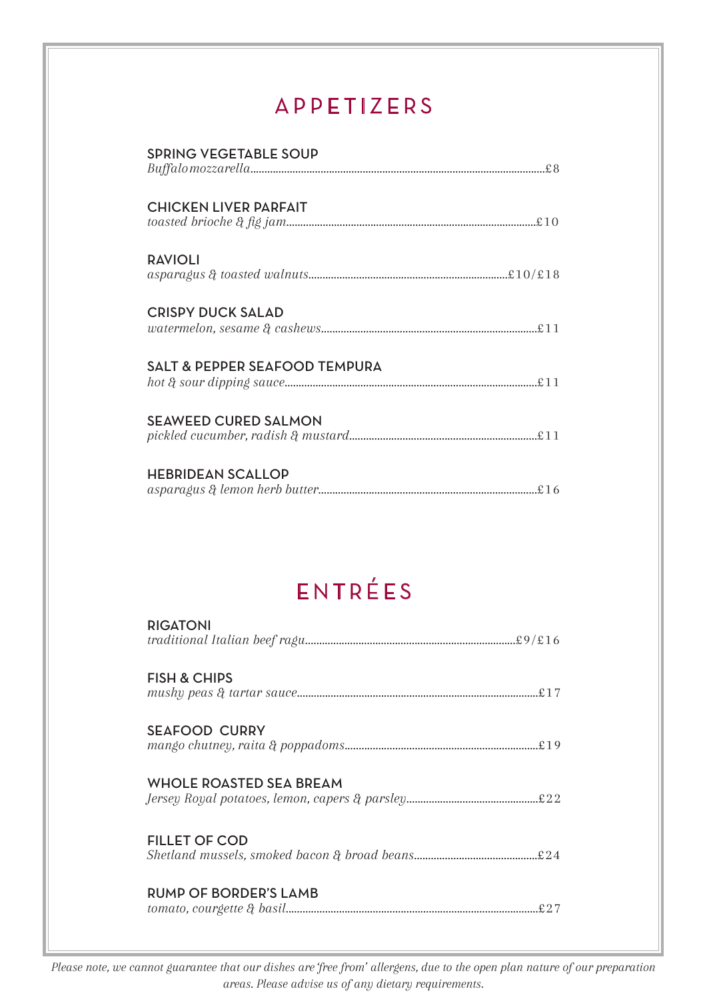### APPETIZERS

| <b>SPRING VEGETABLE SOUP</b>                                                                                                                                                                                                                                                                                                                                                                                                                                                                                                                     |
|--------------------------------------------------------------------------------------------------------------------------------------------------------------------------------------------------------------------------------------------------------------------------------------------------------------------------------------------------------------------------------------------------------------------------------------------------------------------------------------------------------------------------------------------------|
| <b>CHICKEN LIVER PARFAIT</b>                                                                                                                                                                                                                                                                                                                                                                                                                                                                                                                     |
| <b>RAVIOLI</b><br>$as paragus \ \&\ to a seted\ wall nuts. \label{thm:main} {\bf \small \begin{aligned} as para gus \ \&\ to a seted\ wall nuts. \end{aligned} }$                                                                                                                                                                                                                                                                                                                                                                                |
| <b>CRISPY DUCK SALAD</b><br>$water mellon, \, sesame \,\, \&\,\, cashews. \label{ex:1} \vspace{-0.05cm} \begin{minipage}[c]{0.03\textwidth} \centering \end{minipage} \begin{minipage}[c]{0.03\textwidth} \centering \end{minipage} \begin{minipage}[c]{0.03\textwidth} \centering \end{minipage} \begin{minipage}[c]{0.03\textwidth} \centering \end{minipage} \begin{minipage}[c]{0.03\textwidth} \centering \end{minipage} \begin{minipage}[c]{0.03\textwidth} \centering \end{minipage} \begin{minipage}[c]{0.03\textwidth} \centering \end$ |
| <b>SALT &amp; PEPPER SEAFOOD TEMPURA</b>                                                                                                                                                                                                                                                                                                                                                                                                                                                                                                         |
| <b>SEAWEED CURED SALMON</b>                                                                                                                                                                                                                                                                                                                                                                                                                                                                                                                      |
| <b>HEBRIDEAN SCALLOP</b>                                                                                                                                                                                                                                                                                                                                                                                                                                                                                                                         |

## ENTRÉES

| <b>RIGATONI</b>         |
|-------------------------|
| <b>FISH &amp; CHIPS</b> |
| <b>SEAFOOD CURRY</b>    |
| WHOLE ROASTED SEA BREAM |
| <b>FILLET OF COD</b>    |
| RUMP OF BORDER'S LAMB   |

*Please note, we cannot guarantee that our dishes are 'free from' allergens, due to the open plan nature of our preparation areas. Please advise us of any dietary requirements.*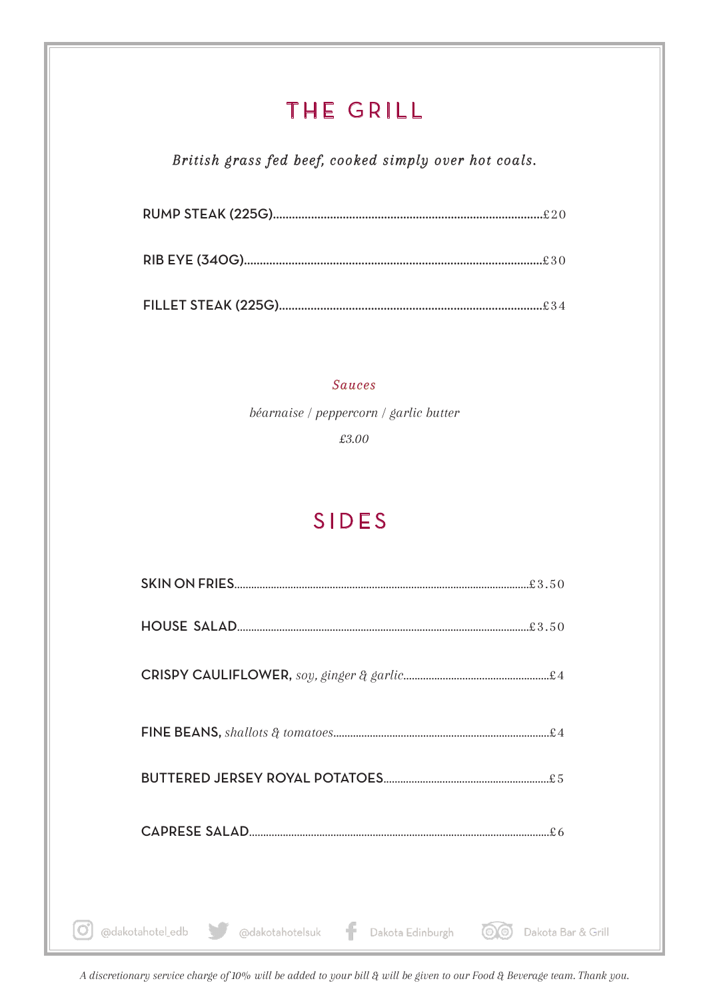### THE GRILL

### *British grass fed beef, cooked simply over hot coals.*

#### *Sauces*

*béarnaise / peppercorn / garlic butter*

*£3.00*

### SIDES

| @dakotahotel_edb @dakotahotelsuk<br>Dakota Edinburgh | Dakota Bar & Grill |
|------------------------------------------------------|--------------------|

*A discretionary service charge of 10% will be added to your bill & will be given to our Food & Beverage team. Thank you.*